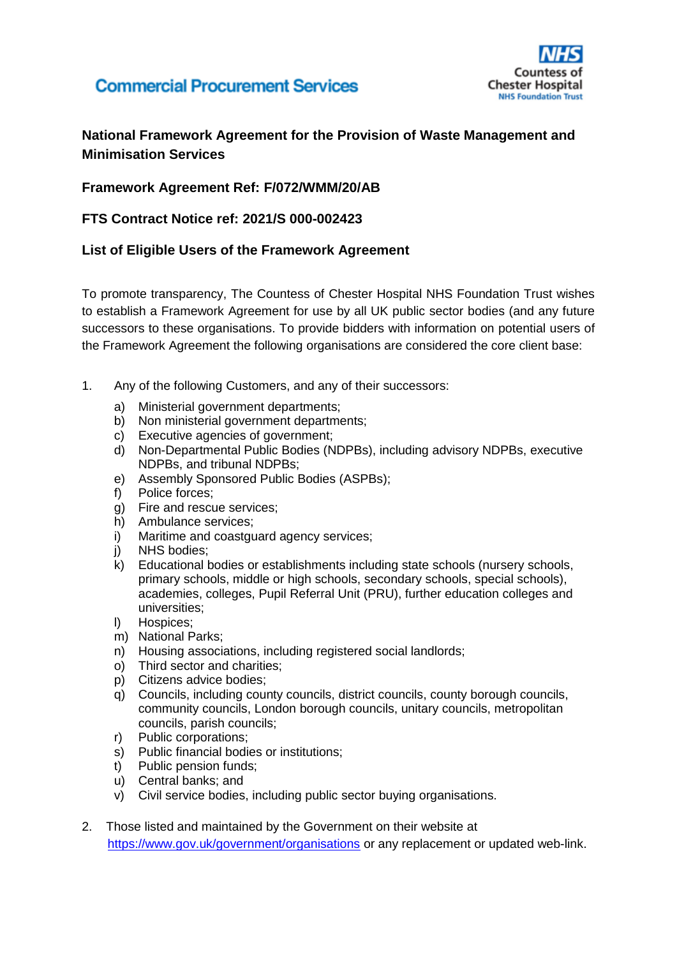# **Commercial Procurement Services**



### **National Framework Agreement for the Provision of Waste Management and Minimisation Services**

### **Framework Agreement Ref: F/072/WMM/20/AB**

#### **FTS Contract Notice ref: 2021/S 000-002423**

#### **List of Eligible Users of the Framework Agreement**

To promote transparency, The Countess of Chester Hospital NHS Foundation Trust wishes to establish a Framework Agreement for use by all UK public sector bodies (and any future successors to these organisations. To provide bidders with information on potential users of the Framework Agreement the following organisations are considered the core client base:

- 1. Any of the following Customers, and any of their successors:
	- a) Ministerial government departments;
	- b) Non ministerial government departments;
	- c) Executive agencies of government;
	- d) Non-Departmental Public Bodies (NDPBs), including advisory NDPBs, executive NDPBs, and tribunal NDPBs;
	- e) Assembly Sponsored Public Bodies (ASPBs);
	- f) Police forces;
	- g) Fire and rescue services;
	- h) Ambulance services;
	- i) Maritime and coastguard agency services:
	- j) NHS bodies;
	- k) Educational bodies or establishments including state schools (nursery schools, primary schools, middle or high schools, secondary schools, special schools), academies, colleges, Pupil Referral Unit (PRU), further education colleges and universities;
	- l) Hospices;
	- m) National Parks;
	- n) Housing associations, including registered social landlords;
	- o) Third sector and charities;
	- p) Citizens advice bodies;
	- q) Councils, including county councils, district councils, county borough councils, community councils, London borough councils, unitary councils, metropolitan councils, parish councils;
	- r) Public corporations;
	- s) Public financial bodies or institutions;
	- t) Public pension funds;
	- u) Central banks; and
	- v) Civil service bodies, including public sector buying organisations.
- 2. Those listed and maintained by the Government on their website at <https://www.gov.uk/government/organisations> or any replacement or updated web-link.